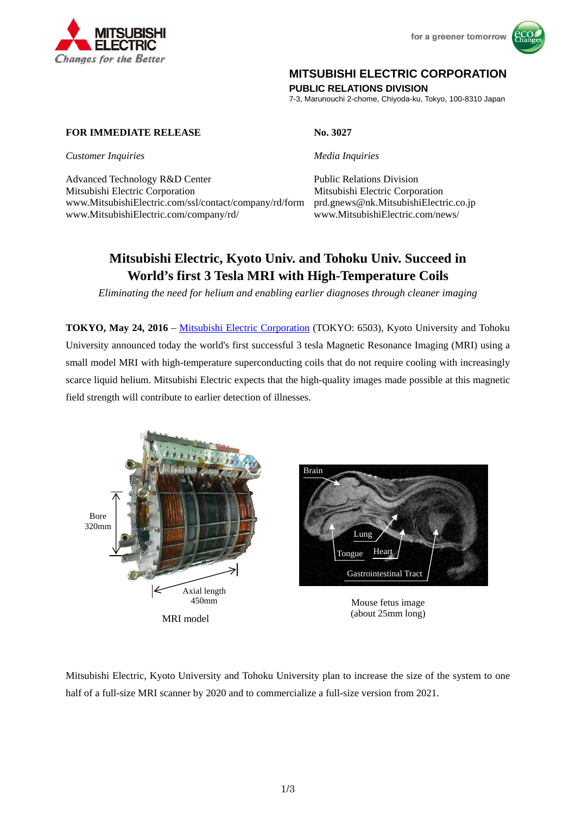



# **MITSUBISHI ELECTRIC CORPORATION**

**PUBLIC RELATIONS DIVISION** 

7-3, Marunouchi 2-chome, Chiyoda-ku, Tokyo, 100-8310 Japan

## **FOR IMMEDIATE RELEASE** No. 3027

*Customer Inquiries* Media Inquiries

Advanced Technology R&D Center Public Relations Division Mitsubishi Electric Corporation Mitsubishi Electric Corporation www.MitsubishiElectric.com/ssl/contact/company/rd/form prd.gnews@nk.MitsubishiElectric.co.jp www.MitsubishiElectric.com/company/rd/ www.MitsubishiElectric.com/news/

# **Mitsubishi Electric, Kyoto Univ. and Tohoku Univ. Succeed in World's first 3 Tesla MRI with High-Temperature Coils**

*Eliminating the need for helium and enabling earlier diagnoses through cleaner imaging* 

**TOKYO, May 24, 2016** – Mitsubishi Electric Corporation (TOKYO: 6503), Kyoto University and Tohoku University announced today the world's first successful 3 tesla Magnetic Resonance Imaging (MRI) using a small model MRI with high-temperature superconducting coils that do not require cooling with increasingly scarce liquid helium. Mitsubishi Electric expects that the high-quality images made possible at this magnetic field strength will contribute to earlier detection of illnesses.



Mitsubishi Electric, Kyoto University and Tohoku University plan to increase the size of the system to one half of a full-size MRI scanner by 2020 and to commercialize a full-size version from 2021.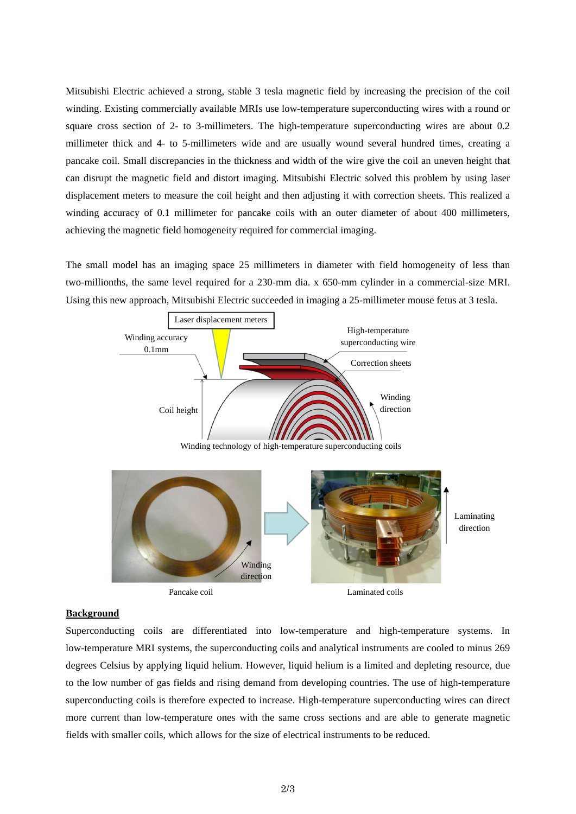Mitsubishi Electric achieved a strong, stable 3 tesla magnetic field by increasing the precision of the coil winding. Existing commercially available MRIs use low-temperature superconducting wires with a round or square cross section of 2- to 3-millimeters. The high-temperature superconducting wires are about 0.2 millimeter thick and 4- to 5-millimeters wide and are usually wound several hundred times, creating a pancake coil. Small discrepancies in the thickness and width of the wire give the coil an uneven height that can disrupt the magnetic field and distort imaging. Mitsubishi Electric solved this problem by using laser displacement meters to measure the coil height and then adjusting it with correction sheets. This realized a winding accuracy of 0.1 millimeter for pancake coils with an outer diameter of about 400 millimeters, achieving the magnetic field homogeneity required for commercial imaging.

The small model has an imaging space 25 millimeters in diameter with field homogeneity of less than two-millionths, the same level required for a 230-mm dia. x 650-mm cylinder in a commercial-size MRI. Using this new approach, Mitsubishi Electric succeeded in imaging a 25-millimeter mouse fetus at 3 tesla.



## **Background**

Superconducting coils are differentiated into low-temperature and high-temperature systems. In low-temperature MRI systems, the superconducting coils and analytical instruments are cooled to minus 269 degrees Celsius by applying liquid helium. However, liquid helium is a limited and depleting resource, due to the low number of gas fields and rising demand from developing countries. The use of high-temperature superconducting coils is therefore expected to increase. High-temperature superconducting wires can direct more current than low-temperature ones with the same cross sections and are able to generate magnetic fields with smaller coils, which allows for the size of electrical instruments to be reduced.